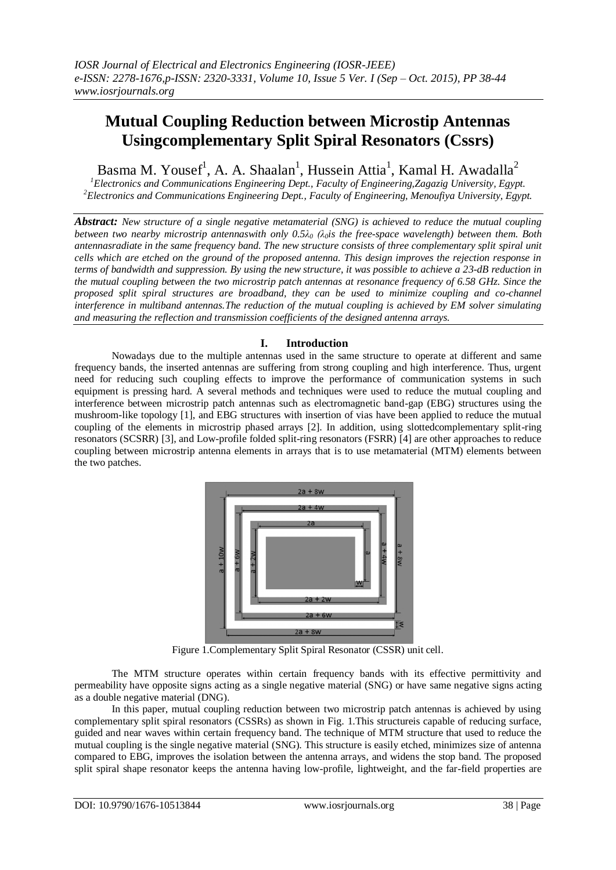# **Mutual Coupling Reduction between Microstip Antennas Usingcomplementary Split Spiral Resonators (Cssrs)**

Basma M. Yousef<sup>1</sup>, A. A. Shaalan<sup>1</sup>, Hussein Attia<sup>1</sup>, Kamal H. Awadalla<sup>2</sup>

*<sup>1</sup>Electronics and Communications Engineering Dept., Faculty of Engineering,Zagazig University, Egypt. <sup>2</sup>Electronics and Communications Engineering Dept., Faculty of Engineering, Menoufiya University, Egypt.*

*Abstract: New structure of a single negative metamaterial (SNG) is achieved to reduce the mutual coupling between two nearby microstrip antennaswith only 0.5λ<sup>0</sup> (λ0is the free-space wavelength) between them. Both antennasradiate in the same frequency band. The new structure consists of three complementary split spiral unit cells which are etched on the ground of the proposed antenna. This design improves the rejection response in terms of bandwidth and suppression. By using the new structure, it was possible to achieve a 23-dB reduction in the mutual coupling between the two microstrip patch antennas at resonance frequency of 6.58 GHz. Since the proposed split spiral structures are broadband, they can be used to minimize coupling and co-channel interference in multiband antennas.The reduction of the mutual coupling is achieved by EM solver simulating and measuring the reflection and transmission coefficients of the designed antenna arrays.*

## **I. Introduction**

Nowadays due to the multiple antennas used in the same structure to operate at different and same frequency bands, the inserted antennas are suffering from strong coupling and high interference. Thus, urgent need for reducing such coupling effects to improve the performance of communication systems in such equipment is pressing hard. A several methods and techniques were used to reduce the mutual coupling and interference between microstrip patch antennas such as electromagnetic band-gap (EBG) structures using the mushroom-like topology [1], and EBG structures with insertion of vias have been applied to reduce the mutual coupling of the elements in microstrip phased arrays [2]. In addition, using slottedcomplementary split-ring resonators (SCSRR) [3], and Low-profile folded split-ring resonators (FSRR) [4] are other approaches to reduce coupling between microstrip antenna elements in arrays that is to use metamaterial (MTM) elements between the two patches.



Figure 1.Complementary Split Spiral Resonator (CSSR) unit cell.

The MTM structure operates within certain frequency bands with its effective permittivity and permeability have opposite signs acting as a single negative material (SNG) or have same negative signs acting as a double negative material (DNG).

In this paper, mutual coupling reduction between two microstrip patch antennas is achieved by using complementary split spiral resonators (CSSRs) as shown in Fig. 1.This structureis capable of reducing surface, guided and near waves within certain frequency band. The technique of MTM structure that used to reduce the mutual coupling is the single negative material (SNG). This structure is easily etched, minimizes size of antenna compared to EBG, improves the isolation between the antenna arrays, and widens the stop band. The proposed split spiral shape resonator keeps the antenna having low-profile, lightweight, and the far-field properties are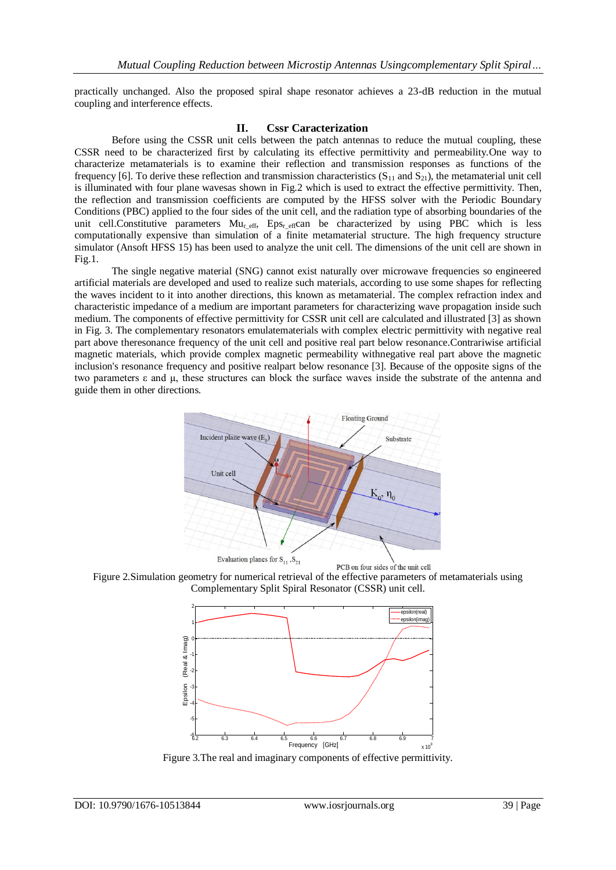practically unchanged. Also the proposed spiral shape resonator achieves a 23-dB reduction in the mutual coupling and interference effects.

## **II. Cssr Caracterization**

Before using the CSSR unit cells between the patch antennas to reduce the mutual coupling, these CSSR need to be characterized first by calculating its effective permittivity and permeability.One way to characterize metamaterials is to examine their reflection and transmission responses as functions of the frequency [6]. To derive these reflection and transmission characteristics  $(S_{11}$  and  $S_{21})$ , the metamaterial unit cell is illuminated with four plane wavesas shown in Fig.2 which is used to extract the effective permittivity. Then, the reflection and transmission coefficients are computed by the HFSS solver with the Periodic Boundary Conditions (PBC) applied to the four sides of the unit cell, and the radiation type of absorbing boundaries of the unit cell.Constitutive parameters Mu<sub>reff</sub>, Eps<sub>reff</sub>can be characterized by using PBC which is less computationally expensive than simulation of a finite metamaterial structure. The high frequency structure simulator (Ansoft HFSS 15) has been used to analyze the unit cell. The dimensions of the unit cell are shown in Fig.1.

The single negative material (SNG) cannot exist naturally over microwave frequencies so engineered artificial materials are developed and used to realize such materials, according to use some shapes for reflecting the waves incident to it into another directions, this known as metamaterial. The complex refraction index and characteristic impedance of a medium are important parameters for characterizing wave propagation inside such medium. The components of effective permittivity for CSSR unit cell are calculated and illustrated [3] as shown in Fig. 3. The complementary resonators emulatematerials with complex electric permittivity with negative real part above theresonance frequency of the unit cell and positive real part below resonance.Contrariwise artificial magnetic materials, which provide complex magnetic permeability withnegative real part above the magnetic inclusion's resonance frequency and positive realpart below resonance [3]. Because of the opposite signs of the two parameters ε and µ, these structures can block the surface waves inside the substrate of the antenna and guide them in other directions.







Figure 3.The real and imaginary components of effective permittivity.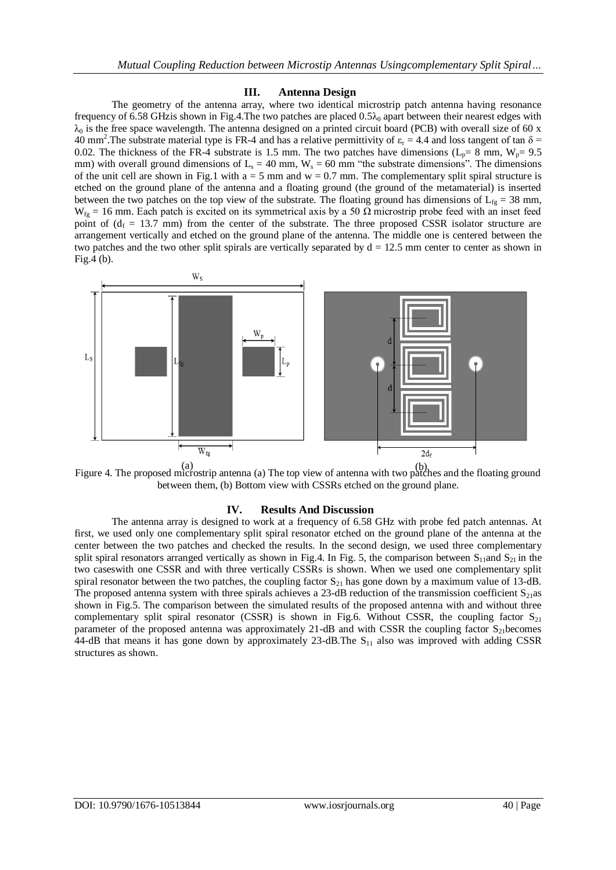### **III. Antenna Design**

The geometry of the antenna array, where two identical microstrip patch antenna having resonance frequency of 6.58 GHz is shown in Fig.4. The two patches are placed  $0.5\lambda_0$  apart between their nearest edges with  $\lambda_0$  is the free space wavelength. The antenna designed on a printed circuit board (PCB) with overall size of 60 x 40 mm<sup>2</sup>. The substrate material type is FR-4 and has a relative permittivity of  $\varepsilon_r = 4.4$  and loss tangent of tan  $\delta$  = 0.02. The thickness of the FR-4 substrate is 1.5 mm. The two patches have dimensions ( $L_p= 8$  mm,  $W_p= 9.5$ ) mm) with overall ground dimensions of  $L_s = 40$  mm,  $W_s = 60$  mm "the substrate dimensions". The dimensions of the unit cell are shown in Fig.1 with  $a = 5$  mm and  $w = 0.7$  mm. The complementary split spiral structure is etched on the ground plane of the antenna and a floating ground (the ground of the metamaterial) is inserted between the two patches on the top view of the substrate. The floating ground has dimensions of  $L_f = 38$  mm, W<sub>fg</sub> = 16 mm. Each patch is excited on its symmetrical axis by a 50  $\Omega$  microstrip probe feed with an inset feed point of  $(d_f = 13.7 \text{ mm})$  from the center of the substrate. The three proposed CSSR isolator structure are arrangement vertically and etched on the ground plane of the antenna. The middle one is centered between the two patches and the two other split spirals are vertically separated by  $d = 12.5$  mm center to center as shown in Fig.4 (b).



Figure 4. The proposed microstrip antenna (a) The top view of antenna with two patches and the floating ground (a) (b)between them, (b) Bottom view with CSSRs etched on the ground plane.

#### **IV. Results And Discussion**

The antenna array is designed to work at a frequency of 6.58 GHz with probe fed patch antennas. At first, we used only one complementary split spiral resonator etched on the ground plane of the antenna at the center between the two patches and checked the results. In the second design, we used three complementary split spiral resonators arranged vertically as shown in Fig.4. In Fig. 5, the comparison between  $S_{11}$ and  $S_{21}$  in the two caseswith one CSSR and with three vertically CSSRs is shown. When we used one complementary split spiral resonator between the two patches, the coupling factor  $S_{21}$  has gone down by a maximum value of 13-dB. The proposed antenna system with three spirals achieves a 23-dB reduction of the transmission coefficient  $S_{21}$ as shown in Fig.5. The comparison between the simulated results of the proposed antenna with and without three complementary split spiral resonator (CSSR) is shown in Fig.6. Without CSSR, the coupling factor  $S_{21}$ parameter of the proposed antenna was approximately 21-dB and with CSSR the coupling factor  $S_{21}$  becomes 44-dB that means it has gone down by approximately  $23$ -dB. The  $S<sub>11</sub>$  also was improved with adding CSSR structures as shown.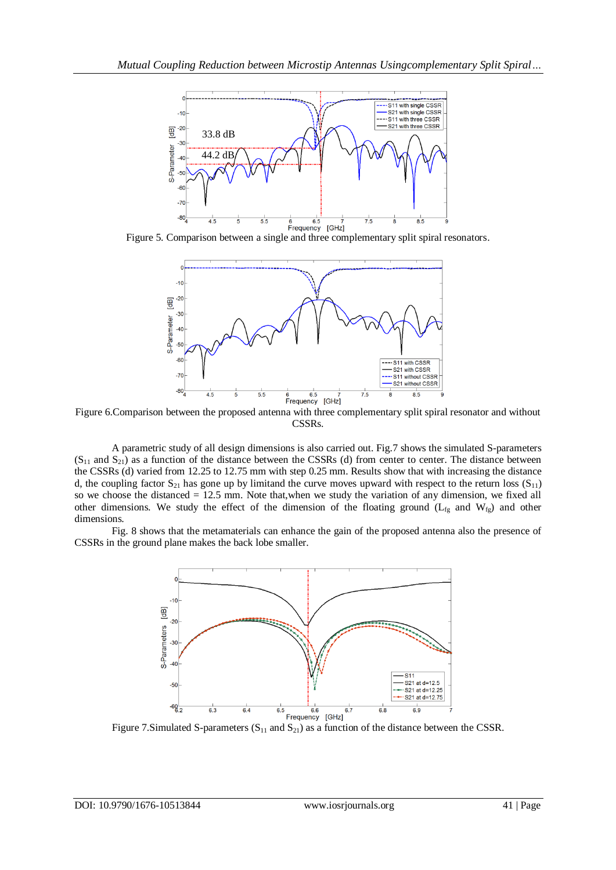



Figure 6.Comparison between the proposed antenna with three complementary split spiral resonator and without CSSRs.

A parametric study of all design dimensions is also carried out. Fig.7 shows the simulated S-parameters  $(S_{11}$  and  $S_{21})$  as a function of the distance between the CSSRs (d) from center to center. The distance between the CSSRs (d) varied from 12.25 to 12.75 mm with step 0.25 mm. Results show that with increasing the distance d, the coupling factor  $S_{21}$  has gone up by limitand the curve moves upward with respect to the return loss  $(S_{11})$ so we choose the distanced = 12.5 mm. Note that,when we study the variation of any dimension, we fixed all other dimensions. We study the effect of the dimension of the floating ground  $(L_{fg}$  and  $W_{fg}$ ) and other dimensions.

Fig. 8 shows that the metamaterials can enhance the gain of the proposed antenna also the presence of CSSRs in the ground plane makes the back lobe smaller.



Figure 7.Simulated S-parameters ( $S_{11}$  and  $S_{21}$ ) as a function of the distance between the CSSR.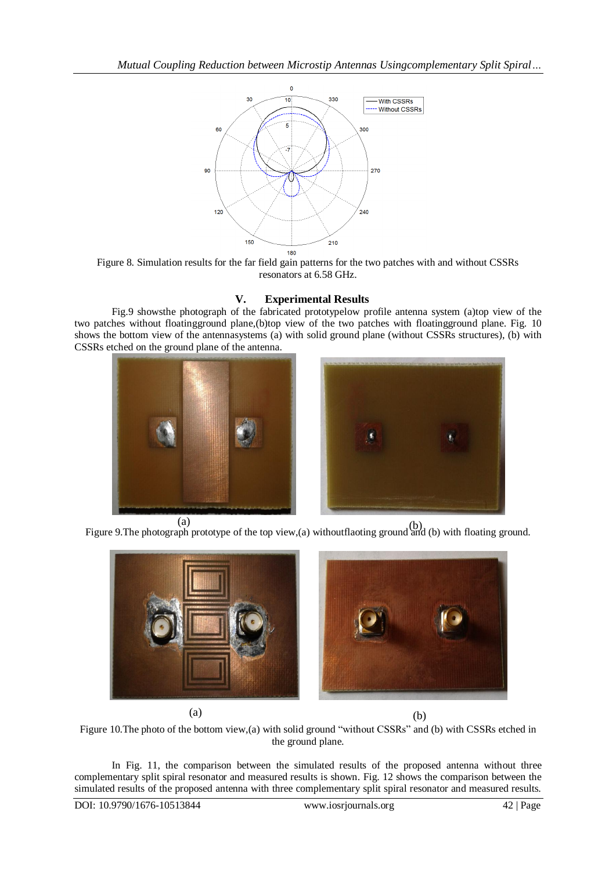

Figure 8. Simulation results for the far field gain patterns for the two patches with and without CSSRs resonators at 6.58 GHz.

## **V. Experimental Results**

Fig.9 showsthe photograph of the fabricated prototypelow profile antenna system (a)top view of the two patches without floatingground plane,(b)top view of the two patches with floatingground plane. Fig. 10 shows the bottom view of the antennasystems (a) with solid ground plane (without CSSRs structures), (b) with CSSRs etched on the ground plane of the antenna.





(a)<br>Figure 9. The photograph prototype of the top view,(a) withoutflaoting ground and (b) with floating ground.



 $(a)$  (b)

Figure 10.The photo of the bottom view,(a) with solid ground "without CSSRs" and (b) with CSSRs etched in the ground plane.

In Fig. 11, the comparison between the simulated results of the proposed antenna without three complementary split spiral resonator and measured results is shown. Fig. 12 shows the comparison between the simulated results of the proposed antenna with three complementary split spiral resonator and measured results.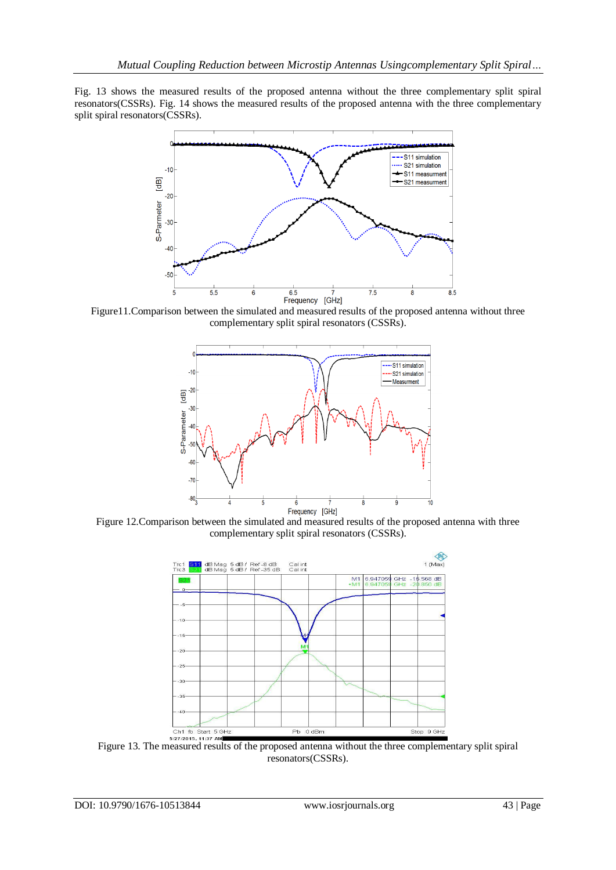Fig. 13 shows the measured results of the proposed antenna without the three complementary split spiral resonators(CSSRs). Fig. 14 shows the measured results of the proposed antenna with the three complementary split spiral resonators(CSSRs).



complementary split spiral resonators (CSSRs).



Figure 12.Comparison between the simulated and measured results of the proposed antenna with three complementary split spiral resonators (CSSRs).



Figure 13. The measured results of the proposed antenna without the three complementary split spiral resonators(CSSRs).